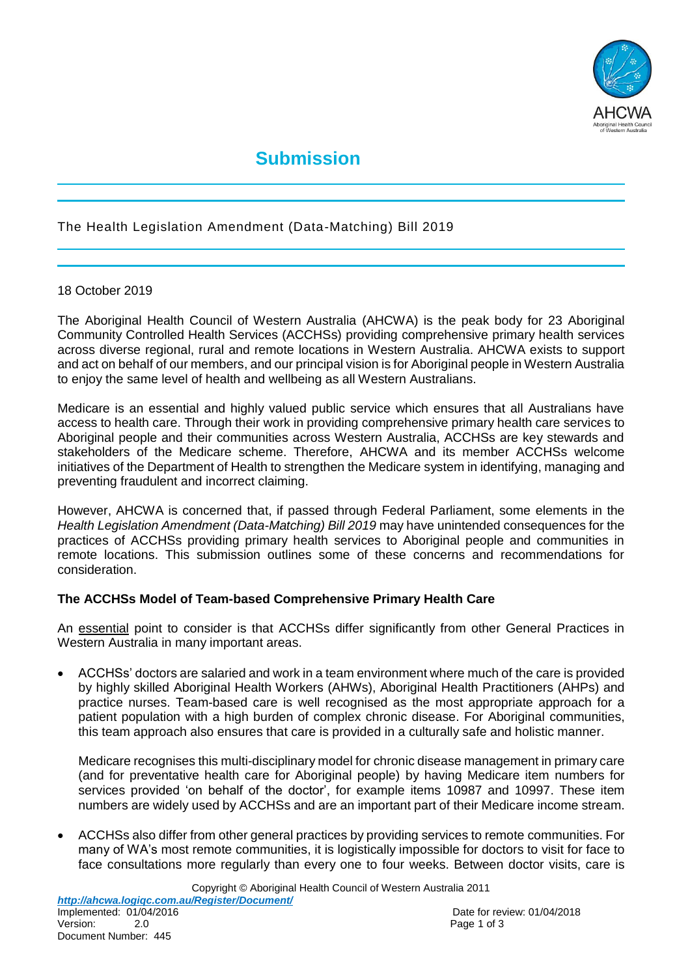

# **Submission**

## The Health Legislation Amendment (Data-Matching) Bill 2019

#### 18 October 2019

The Aboriginal Health Council of Western Australia (AHCWA) is the peak body for 23 Aboriginal Community Controlled Health Services (ACCHSs) providing comprehensive primary health services across diverse regional, rural and remote locations in Western Australia. AHCWA exists to support and act on behalf of our members, and our principal vision is for Aboriginal people in Western Australia to enjoy the same level of health and wellbeing as all Western Australians.

Medicare is an essential and highly valued public service which ensures that all Australians have access to health care. Through their work in providing comprehensive primary health care services to Aboriginal people and their communities across Western Australia, ACCHSs are key stewards and stakeholders of the Medicare scheme. Therefore, AHCWA and its member ACCHSs welcome initiatives of the Department of Health to strengthen the Medicare system in identifying, managing and preventing fraudulent and incorrect claiming.

However, AHCWA is concerned that, if passed through Federal Parliament, some elements in the *Health Legislation Amendment (Data-Matching) Bill 2019* may have unintended consequences for the practices of ACCHSs providing primary health services to Aboriginal people and communities in remote locations. This submission outlines some of these concerns and recommendations for consideration.

## **The ACCHSs Model of Team-based Comprehensive Primary Health Care**

An essential point to consider is that ACCHSs differ significantly from other General Practices in Western Australia in many important areas.

 ACCHSs' doctors are salaried and work in a team environment where much of the care is provided by highly skilled Aboriginal Health Workers (AHWs), Aboriginal Health Practitioners (AHPs) and practice nurses. Team-based care is well recognised as the most appropriate approach for a patient population with a high burden of complex chronic disease. For Aboriginal communities, this team approach also ensures that care is provided in a culturally safe and holistic manner.

Medicare recognises this multi-disciplinary model for chronic disease management in primary care (and for preventative health care for Aboriginal people) by having Medicare item numbers for services provided 'on behalf of the doctor', for example items 10987 and 10997. These item numbers are widely used by ACCHSs and are an important part of their Medicare income stream.

 ACCHSs also differ from other general practices by providing services to remote communities. For many of WA's most remote communities, it is logistically impossible for doctors to visit for face to face consultations more regularly than every one to four weeks. Between doctor visits, care is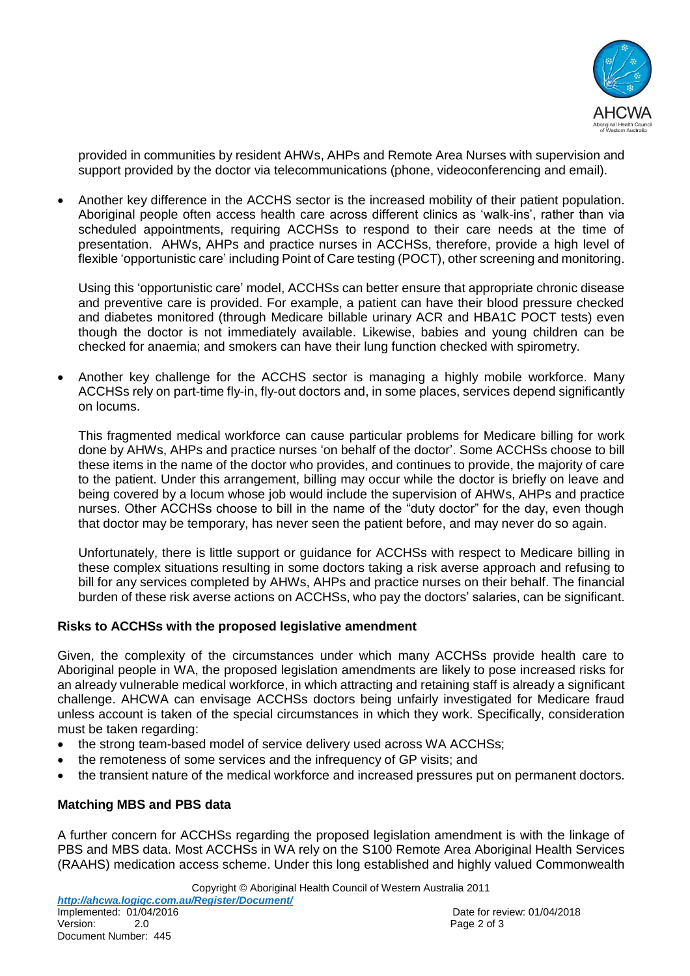

provided in communities by resident AHWs, AHPs and Remote Area Nurses with supervision and support provided by the doctor via telecommunications (phone, videoconferencing and email).

 Another key difference in the ACCHS sector is the increased mobility of their patient population. Aboriginal people often access health care across different clinics as 'walk-ins', rather than via scheduled appointments, requiring ACCHSs to respond to their care needs at the time of presentation. AHWs, AHPs and practice nurses in ACCHSs, therefore, provide a high level of flexible 'opportunistic care' including Point of Care testing (POCT), other screening and monitoring.

Using this 'opportunistic care' model, ACCHSs can better ensure that appropriate chronic disease and preventive care is provided. For example, a patient can have their blood pressure checked and diabetes monitored (through Medicare billable urinary ACR and HBA1C POCT tests) even though the doctor is not immediately available. Likewise, babies and young children can be checked for anaemia; and smokers can have their lung function checked with spirometry.

 Another key challenge for the ACCHS sector is managing a highly mobile workforce. Many ACCHSs rely on part-time fly-in, fly-out doctors and, in some places, services depend significantly on locums.

This fragmented medical workforce can cause particular problems for Medicare billing for work done by AHWs, AHPs and practice nurses 'on behalf of the doctor'. Some ACCHSs choose to bill these items in the name of the doctor who provides, and continues to provide, the majority of care to the patient. Under this arrangement, billing may occur while the doctor is briefly on leave and being covered by a locum whose job would include the supervision of AHWs, AHPs and practice nurses. Other ACCHSs choose to bill in the name of the "duty doctor" for the day, even though that doctor may be temporary, has never seen the patient before, and may never do so again.

Unfortunately, there is little support or guidance for ACCHSs with respect to Medicare billing in these complex situations resulting in some doctors taking a risk averse approach and refusing to bill for any services completed by AHWs, AHPs and practice nurses on their behalf. The financial burden of these risk averse actions on ACCHSs, who pay the doctors' salaries, can be significant.

## **Risks to ACCHSs with the proposed legislative amendment**

Given, the complexity of the circumstances under which many ACCHSs provide health care to Aboriginal people in WA, the proposed legislation amendments are likely to pose increased risks for an already vulnerable medical workforce, in which attracting and retaining staff is already a significant challenge. AHCWA can envisage ACCHSs doctors being unfairly investigated for Medicare fraud unless account is taken of the special circumstances in which they work. Specifically, consideration must be taken regarding:

- the strong team-based model of service delivery used across WA ACCHSs;
- the remoteness of some services and the infrequency of GP visits; and
- the transient nature of the medical workforce and increased pressures put on permanent doctors.

## **Matching MBS and PBS data**

A further concern for ACCHSs regarding the proposed legislation amendment is with the linkage of PBS and MBS data. Most ACCHSs in WA rely on the S100 Remote Area Aboriginal Health Services (RAAHS) medication access scheme. Under this long established and highly valued Commonwealth